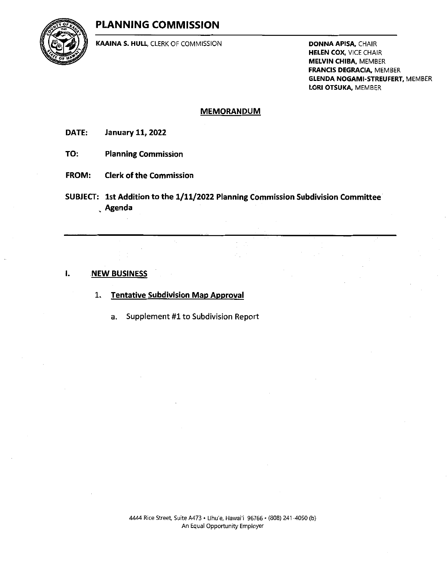## PLANNING COMMISSION



KAAINA S. HULL, CLERK OF COMMISSION DONNA APISA, CHAIR

HELEN COX, VICE CHAIR MELVIN CHIBA, MEMBER FRANCIS DEGRACIA, MEMBER GLENDA NOGAMI-STREUFERT, MEMBER LORI OTSUKA, MEMBER

### MEMORANDUM

DATE: January 11,2022

- TO: Planning Commission
- FROM: Clerk of the Commission
- SUBJECT: 1st Addition to the 1/11/2022 Planning Commission Subdivision Committee Agenda

#### 1. NEW BUSINESS

- 1. Tentative Subdivision Map Approval
	- a. Supplement #1 to Subdivision Report

4444 Rice Street, Suite A473 • LIhu'e, Hawai'i 96766 • (808) <sup>241</sup> -4050 (b) An Equal Opportunity Employer